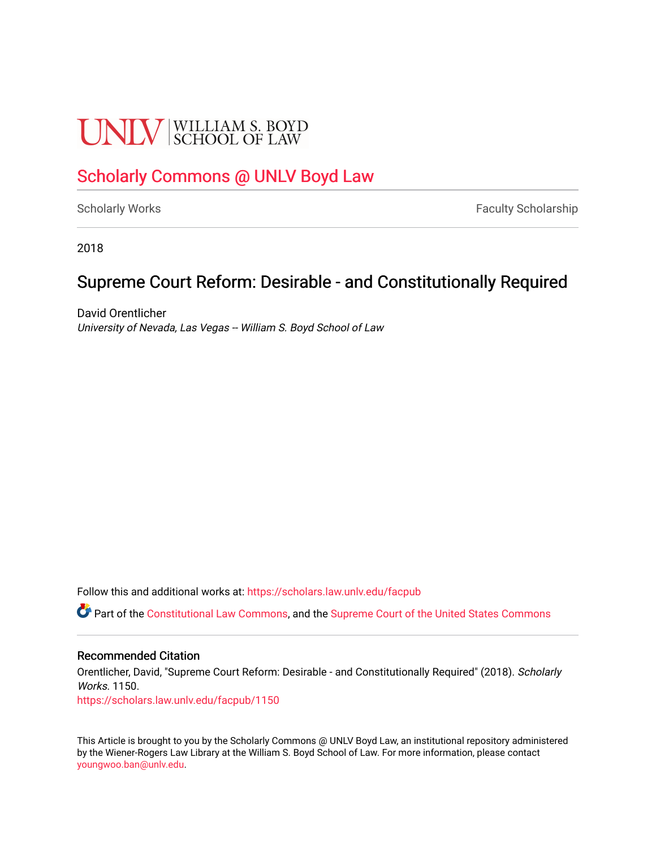# **UNIV** SCHOOL OF LAW

## [Scholarly Commons @ UNLV Boyd Law](https://scholars.law.unlv.edu/)

[Scholarly Works](https://scholars.law.unlv.edu/facpub) **Faculty Scholarship** Faculty Scholarship

2018

## Supreme Court Reform: Desirable - and Constitutionally Required

David Orentlicher University of Nevada, Las Vegas -- William S. Boyd School of Law

Follow this and additional works at: [https://scholars.law.unlv.edu/facpub](https://scholars.law.unlv.edu/facpub?utm_source=scholars.law.unlv.edu%2Ffacpub%2F1150&utm_medium=PDF&utm_campaign=PDFCoverPages)

Part of the [Constitutional Law Commons,](http://network.bepress.com/hgg/discipline/589?utm_source=scholars.law.unlv.edu%2Ffacpub%2F1150&utm_medium=PDF&utm_campaign=PDFCoverPages) and the [Supreme Court of the United States Commons](http://network.bepress.com/hgg/discipline/1350?utm_source=scholars.law.unlv.edu%2Ffacpub%2F1150&utm_medium=PDF&utm_campaign=PDFCoverPages)

### Recommended Citation

Orentlicher, David, "Supreme Court Reform: Desirable - and Constitutionally Required" (2018). Scholarly Works. 1150.

[https://scholars.law.unlv.edu/facpub/1150](https://scholars.law.unlv.edu/facpub/1150?utm_source=scholars.law.unlv.edu%2Ffacpub%2F1150&utm_medium=PDF&utm_campaign=PDFCoverPages) 

This Article is brought to you by the Scholarly Commons @ UNLV Boyd Law, an institutional repository administered by the Wiener-Rogers Law Library at the William S. Boyd School of Law. For more information, please contact [youngwoo.ban@unlv.edu.](mailto:youngwoo.ban@unlv.edu)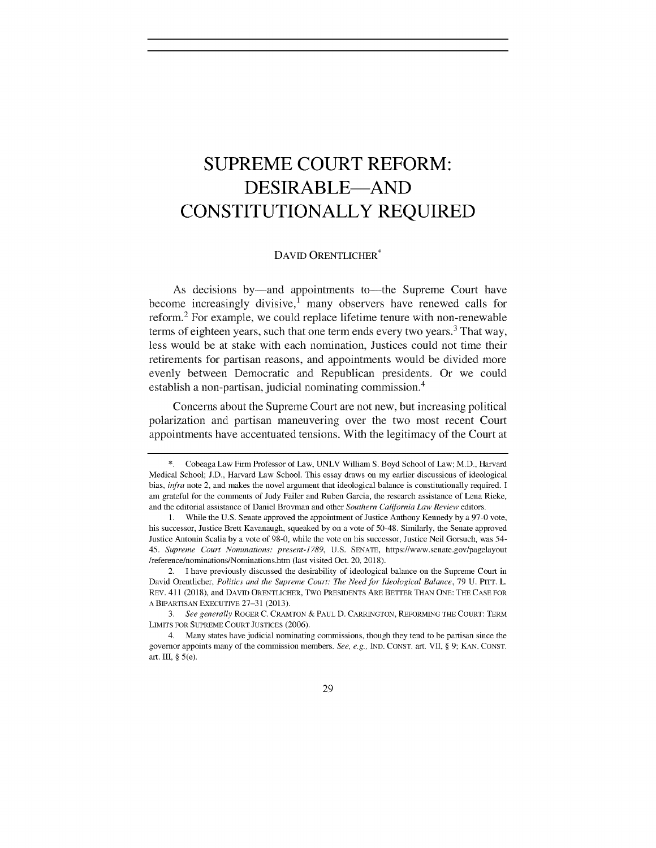## **SUPREME COURT REFORM: DESIRABLE-AND CONSTITUTIONALLY REQUIRED**

#### **DAVID ORENTLICHER**

As decisions by—and appointments to—the Supreme Court have become increasingly divisive,<sup>1</sup> many observers have renewed calls for reform.<sup>2</sup> For example, we could replace lifetime tenure with non-renewable terms of eighteen years, such that one term ends every two years.<sup>3</sup> That way, less would be at stake with each nomination, Justices could not time their retirements for partisan reasons, and appointments would be divided more evenly between Democratic and Republican presidents. Or we could establish a non-partisan, judicial nominating commission.<sup>4</sup>

Concerns about the Supreme Court are not new, but increasing political polarization and partisan maneuvering over the two most recent Court appointments have accentuated tensions. With the legitimacy of the Court at

**<sup>\*.</sup>** Cobeaga Law Firm Professor of Law, **UNLV** William **S.** Boyd School of Law; M.D., Harvard Medical School; **J.D.,** Harvard Law School. This essay draws on my earlier discussions of ideological bias, **infra** note 2, and makes the novel argument that ideological balance is constitutionally required. **I** am grateful for the comments of Judy Failer and Ruben Garcia, the research assistance of Lena Rieke, and the editorial assistance of Daniel Brovman and other Southern California Law Review editors.

**<sup>1.</sup>** While the **U.S.** Senate approved the appointment of Justice Anthony Kennedy **by** a **97-0** vote, his successor, Justice Brett Kavanaugh, squeaked **by** on a vote of 50-48. Similarly, the Senate approved Justice Antonin Scalia **by** a vote of **98-0,** while the vote on his successor, Justice Neil Gorsuch, was 54- 45. **Supreme Court Nominations. present-1789, U.S. SENATE,** https://www.senate.gov/pagelayout /reference/nominations/Nominations.htm (last visited Oct. 20, **2018).**

<sup>2.</sup> I have previously discussed the desirability of ideological balance on the Supreme Court in David Orentlicher, Politics and the Supreme Court. The **Need for** Ideological **Balance, 79 U. PITT. L.** REV. 411 **(2018),** and **DAVID** ORENTLICHER, Two **PRESIDENTS ARE BETTER THAN ONE: THE CASE FOR A BIPARTISAN EXECUTIVE 27-31 (2013).**

*<sup>3.</sup>* See generally *ROGER* **C.** CRAMTON **& PAUL D. CARRINGTON, REFORMING THE COURT: TERM** LIMITS **FOR SUPREME COURT JUSTICES (2006).**

<sup>4.</sup> Many states have judicial nominating commissions, though they tend to be partisan since the governor appoints many of the commission members. **See,** e.g., **IND. CONST.** art. VII, **§ 9; KAN. CONST.** art. III, **§** *5(e).*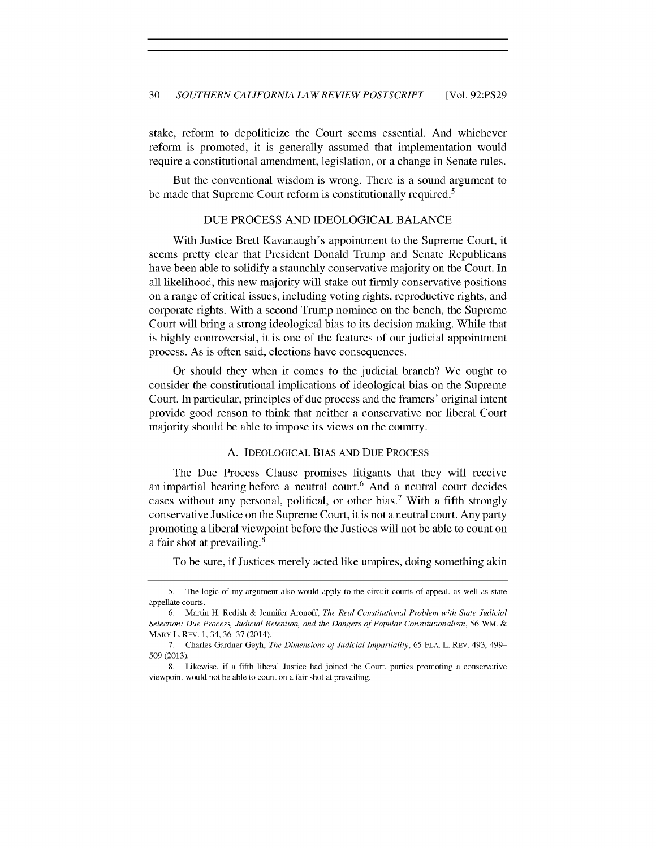stake, reform to depoliticize the Court seems essential. And whichever reform is promoted, it is generally assumed that implementation would require a constitutional amendment, legislation, or a change in Senate rules.

But the conventional wisdom is wrong. There is a sound argument to be made that Supreme Court reform is constitutionally required.<sup>5</sup>

#### **DUE PROCESS AND IDEOLOGICAL BALANCE**

With Justice Brett Kavanaugh's appointment to the Supreme Court, it seems pretty clear that President Donald Trump and Senate Republicans have been able to solidify a staunchly conservative majority on the Court. In all likelihood, this new majority will stake out firmly conservative positions on a range of critical issues, including voting rights, reproductive rights, and corporate rights. With a second Trump nominee on the bench, the Supreme Court will bring a strong ideological bias to its decision making. While that is **highly** controversial, it is one of the features of our judicial appointment process. As is often said, elections have consequences.

Or should they when it comes to the judicial branch? We ought to consider the constitutional implications of ideological bias on the Supreme Court. In particular, principles of due process and the framers' original intent provide good reason to think that neither a conservative nor liberal Court majority should be able to impose its views on the country.

#### **A. IDEOLOGICAL BIAS AND** DuE **PROCESS**

The Due Process Clause promises litigants that they will receive an impartial hearing before a neutral court.<sup>6</sup> And a neutral court decides cases without any personal, political, or other bias.<sup>7</sup> With a fifth strongly conservative Justice on the Supreme Court, it is not a neutral court. Any party promoting a liberal viewpoint before the Justices will not be able to count on a fair shot at prevailing. <sup>8</sup>

To be sure, if Justices merely acted like umpires, doing something akin

*<sup>5.</sup>* The logic of my argument also would apply to the circuit courts of appeal, as well as state appellate courts.

**<sup>6.</sup>** Martin H. Redish **&** Jennifer Aronoff, The Real Constitutional Problem with State Judicial *Selection:* Due *Process, Judicial Retention,* and the Dangers of Popular Constitutionalism, **56** WM. MARY L. REV. **1,** 34, **36-37** (2014).

**<sup>7.</sup>** Charles Gardner Geyh, The Dimensions *of* Judicial *Impartiality,* **65 FLA.** L. REV. 493, 499- **509 (2013).**

**<sup>8.</sup>** Likewise, if a fifth liberal Justice had joined the Court, parties promoting a conservative viewpoint would not be able to count on a fair shot at prevailing.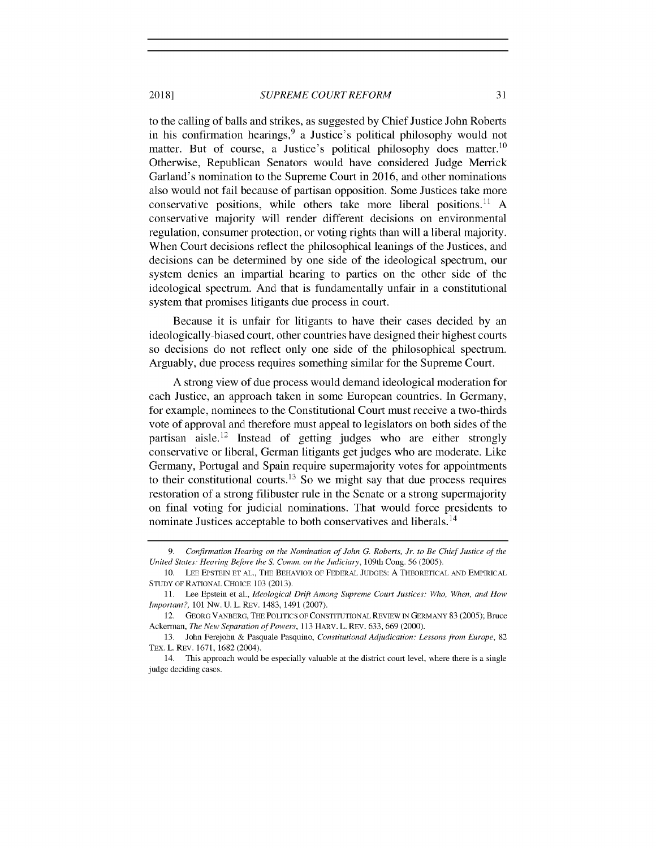#### *SUPREME COURT REFORM* **2018] 31**

to the calling of balls and strikes, as suggested **by** Chief Justice John Roberts in his confirmation hearings,  $9a$  Justice's political philosophy would not matter. But of course, a Justice's political philosophy does matter.<sup>10</sup> Otherwise, Republican Senators would have considered Judge Merrick Garland's nomination to the Supreme Court in **2016,** and other nominations also would not fail because of partisan opposition. Some Justices take more conservative positions, while others take more liberal positions." **A** conservative majority will render different decisions on environmental regulation, consumer protection, or voting rights than will a liberal majority. When Court decisions reflect the philosophical leanings of the Justices, and decisions can be determined **by** one side of the ideological spectrum, our system denies an impartial hearing to parties on the other side of the ideological spectrum. And that is fundamentally unfair in a constitutional system that promises litigants due process in court.

Because it is unfair for litigants to have their cases decided **by** an ideologically-biased court, other countries have designed their highest courts so decisions do not reflect only one side of the philosophical spectrum. Arguably, due process requires something similar for the Supreme Court.

**A** strong view of due process would demand ideological moderation for each Justice, an approach taken in some European countries. In Germany, for example, nominees to the Constitutional Court must receive a two-thirds vote of approval and therefore must appeal to legislators on both sides of the partisan aisle.<sup>12</sup> Instead of getting judges who are either strongly conservative or liberal, German litigants get judges who are moderate. Like Germany, Portugal and Spain require supermajority votes for appointments to their constitutional courts.<sup>13</sup> So we might say that due process requires restoration of a strong filibuster rule in the Senate or a strong supermajority on final voting for judicial nominations. That would force presidents to nominate Justices acceptable to both conservatives and liberals. **<sup>14</sup>**

**<sup>9.</sup>** Confirmation Hearing on the Nomination of John **G.** Roberts, Jr. to Be Chief Justice of the United States. Hearing Before the **S.** Comm. on the Judiciary, 109th Cong. **56 (2005).**

**<sup>10.</sup> LEE EPSTEIN ET AL., THE BEHAVIOR OF FEDERAL JUDGES: A THEORETICAL AND EMPIRICAL STUDY OF RATIONAL CHOICE 103 (2013).**

**<sup>11.</sup>** Lee Epstein et al., Ideological Drift Among Supreme Court Justices: Who, When, and How Important?, *101* Nw. **U.** L. **REV.** 1483, 1491 **(2007).**

<sup>12.</sup> **GEORG VANBERG, THE POLITICS OF CONSTITUTIONAL REVIEW IN GERMANY 83 (2005);** Bruce Ackerman, The New Separation of Powers, **113 HARV. L. REV. 633, 669** (2000).

**<sup>13.</sup>** John Ferejohn **&** Pasquale Pasquino, Constitutional Adjudication. Lessons from Europe, *82* TEX. L. **REV. 1671, 1682** (2004).

<sup>14.</sup> This approach would be especially valuable at the district court level, where there is a single judge deciding cases.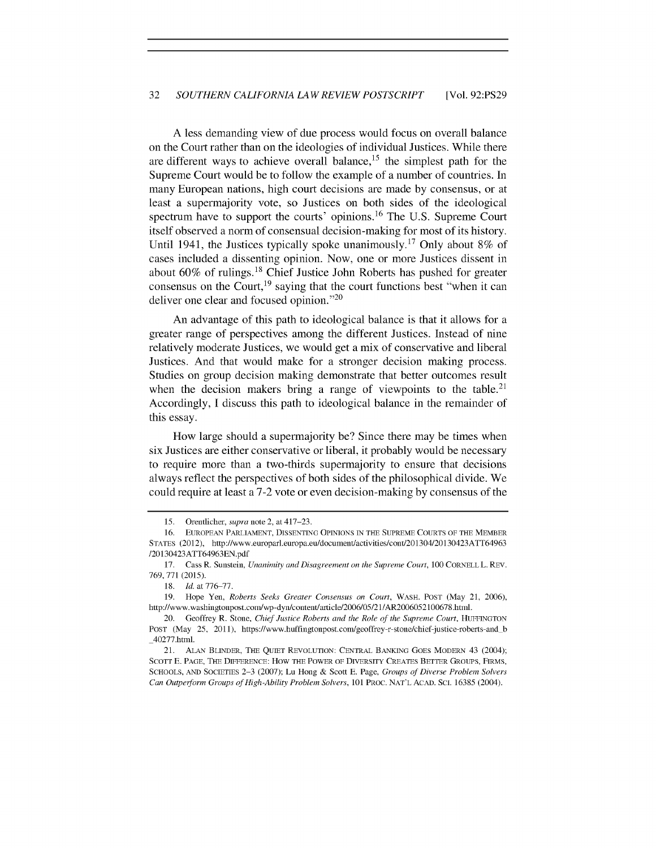#### *32 SOUTHERN CALIFORNIA LAW REVIEW POSTSCRIPT* [Vol. **92:PS29**

**A** less demanding view of due process would focus on overall balance on the Court rather than on the ideologies of individual Justices. While there are different ways to achieve overall balance,  $15$  the simplest path for the Supreme Court would be to follow the example of a number of countries. In many European nations, high court decisions are made **by** consensus, or at least a supermajority vote, so Justices on both sides of the ideological spectrum have to support the courts' opinions.<sup>16</sup> The U.S. Supreme Court itself observed a norm of consensual decision-making for most of its history. Until 1941, the Justices typically spoke unanimously.<sup>17</sup>Only about **8%** of cases included a dissenting opinion. Now, one or more Justices dissent in about 60% of rulings.<sup>18</sup> Chief Justice John Roberts has pushed for greater consensus on the Court,  $19$  saying that the court functions best "when it can deliver one clear and focused opinion."20

An advantage of this path to ideological balance is that it allows for a greater range of perspectives among the different Justices. Instead of nine relatively moderate Justices, we would get a mix of conservative and liberal Justices. And that would make for a stronger decision making process. Studies on group decision making demonstrate that better outcomes result when the decision makers bring a range of viewpoints to the table.<sup>21</sup> Accordingly, **I** discuss this path to ideological balance in the remainder of this essay.

How large should a supermajority be? Since there may be times when six Justices are either conservative or liberal, it probably would be necessary to require more than a two-thirds supermajority to ensure that decisions always reflect the perspectives of both sides of the philosophical divide. We could require at least a **7-2** vote or even decision-making **by** consensus of the

*<sup>15.</sup>* Orentlicher, **supra** note 2, at 417-23.

**<sup>16.</sup> EUROPEAN PARLIAMENT, DISSENTING OPINIONS IN THE SUPREME COURTS OF THE MEMBER STATES** (2012), http://www.europarl.europa.eu/document/activities/cont/201304/20130423ATT64963 **/20130423ATT64963EN.pdf**

**<sup>17.</sup>** Cass R. Sunstein, **Unanimity and Disagreement** *on* **the** Supreme **Court,** *100* **CORNELL L. REV. 769, 771 (2015).**

**<sup>18.</sup>** Id. at **776-77.**

**<sup>19.</sup>** Hope Yen, Roberts Seeks Greater Consensus on Court, WASH. **POST** (May 21, **2006),** http://www.washingtonpost.com/wp-dyn/content/article/2006/05/21/AR2006052100678.html.

<sup>20.</sup> Geoffrey R. Stone, Chief Justice Roberts and the Role of the Supreme Court, **HUFFINGTON POST** (May **25,** 2011), https://www.huffingtonpost.com/geoffrey-r-stone/chief-justice-roberts-and **b** 40277.html.

<sup>21.</sup> **ALAN** BLINDER, THE **QUIET** REVOLUTION: **CENTRAL BANKING GOES** MODERN 43 (2004); **SCOTT E. PAGE, THE DIFFERENCE: HOW THE POWER OF DIVERSITY CREATES BETTER GROUPS, FIRMS, SCHOOLS, AND SOCIETIES 2-3 (2007); Lu Hong & Scott E. Page,** Groups of Diverse Problem Solvers Can Outperform Groups of High-Ability Problem Solvers, *101* **PROC. NAT'L** ACAD. **SCI. 16385** (2004).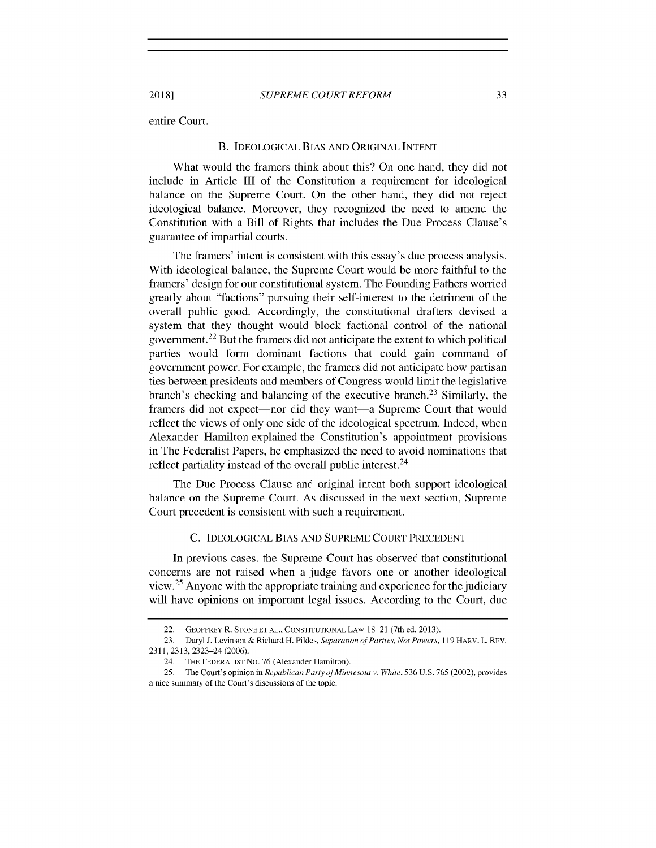entire Court.

#### **B. IDEOLOGICAL BIAS AND ORIGINAL INTENT**

What would the framers think about this? On one hand, they **did** not include in Article **III** of the Constitution a requirement for ideological balance on the Supreme Court. On the other hand, they **did** not reject ideological balance. Moreover, they recognized the need to amend the Constitution with a Bill of Rights that includes the Due Process Clause's guarantee of impartial courts.

The framers' intent is consistent with this essay's due process analysis. With ideological balance, the Supreme Court would be more faithful to the framers' design for our constitutional system. The Founding Fathers worried greatly about "factions" pursuing their self-interest to the detriment of the overall public good. Accordingly, the constitutional drafters devised a system that they thought would block factional control of the national government.<sup>22</sup> But the framers did not anticipate the extent to which political parties would form dominant factions that could gain command of government power. For example, the framers did not anticipate how partisan ties between presidents and members of Congress would limit the legislative branch's checking and balancing of the executive branch.<sup>23</sup> Similarly, the framers did not expect—nor did they want—a Supreme Court that would reflect the views of only one side of the ideological spectrum. Indeed, when Alexander Hamilton explained the Constitution's appointment provisions in The Federalist Papers, he emphasized the need to avoid nominations that reflect partiality instead of the overall public interest.  $24$ 

The Due Process Clause and original intent both support ideological balance on the Supreme Court. As discussed in the next section, Supreme Court precedent is consistent with such a requirement.

#### **C. IDEOLOGICAL BIAS AND SUPREME COURT PRECEDENT**

In previous cases, the Supreme Court has observed that constitutional concerns are not raised when a judge favors one or another ideological view.<sup>25</sup> Anyone with the appropriate training and experience for the judiciary will have opinions on important legal issues. According to the Court, due

<sup>22.</sup> **GEOFFREY R. STONE ET AL., CONSTITUTIONAL LAW 18-21** (7th ed. **2013).**

**<sup>23.</sup>** Daryl **J.** Levinson **&** Richard H. Pildes, **Separation** of Parties, Not Powers, *119* **HARV.** L. **REV. 2311, 2313,** 2323-24 **(2006).**

<sup>24.</sup> **THE FEDERALIST** No. **76** (Alexander Hamilton).

<sup>25.</sup> The Court's opinion in Republican Party of Minnesota v. White, 536 U.S. 765 (2002), provides a nice summary of the Court's discussions of the topic.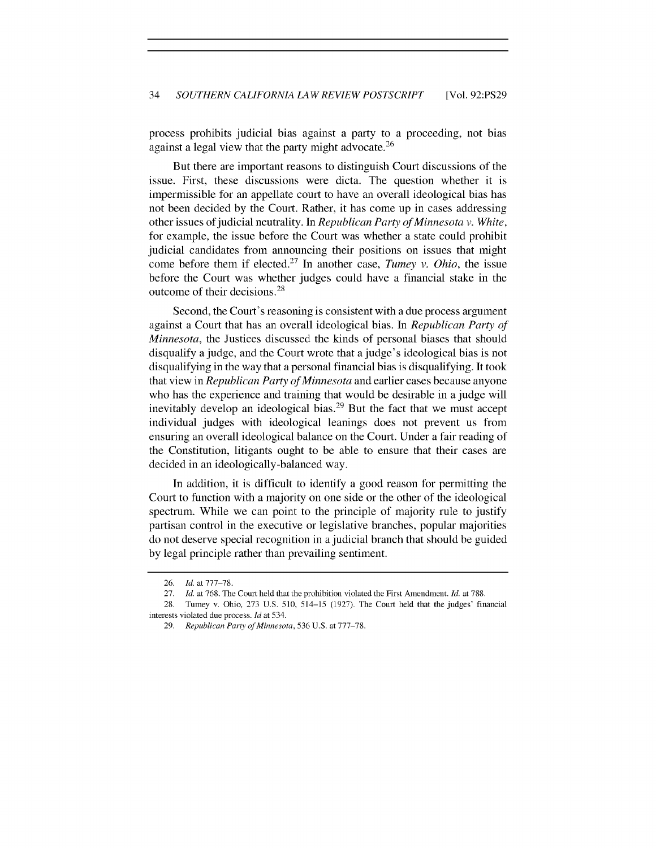process prohibits judicial bias against a party to a proceeding, not bias against a legal view that the party might advocate.<sup>26</sup>

But there are important reasons to distinguish Court discussions of the issue. First, these discussions were dicta. The question whether it is impermissible for an appellate court to have an overall ideological bias has not been decided **by** the Court. Rather, it has come up in cases addressing other issues of judicial neutrality. In *Republican Party ofMinnesota v. White,* for example, the issue before the Court was whether a state could prohibit judicial candidates from announcing their positions on issues that might come before them if elected.<sup>27</sup> In another case, *Tumey v. Ohio*, the issue before the Court was whether judges could have a financial stake in the outcome of their decisions.<sup>28</sup>

Second, the Court's reasoning is consistent with a due process argument against a Court that has an overall ideological bias. In *Republican Party of Minnesota,* the Justices discussed the kinds of personal biases that should disqualify a judge, and the Court wrote that a judge's ideological bias is not disqualifying in the way that a personal financial bias is disqualifying. It took that view in *Republican Party ofMinnesota* and earlier cases because anyone who has the experience and training that would be desirable in a judge will inevitably develop an ideological bias.<sup>29</sup> But the fact that we must accept individual judges with ideological leanings does not prevent us from ensuring an overall ideological balance on the Court. Under a fair reading of the Constitution, litigants ought to be able to ensure that their cases are decided in an ideologically-balanced way.

In addition, it is difficult to identify a good reason for permitting the Court to function with a majority on one side or the other of the ideological spectrum. While we can point to the principle of majority rule to justify partisan control in the executive or legislative branches, popular majorities do not deserve special recognition in a judicial branch that should be guided **by** legal principle rather than prevailing sentiment.

**<sup>26.</sup>** *Id.* at **777-78.**

**<sup>27.</sup>** *Id.* at **768.** The Court held that the prohibition violated the First Amendment. *Id.* at **788.**

**<sup>28.</sup>** Tumey v. Ohio, **273 U.S. 510,** 514-15 **(1927).** The Court **held** that the judges' financial interests violated due process. *Id* at 534.

<sup>29.</sup> Republican Party of Minnesota, 536 U.S. at 777-78.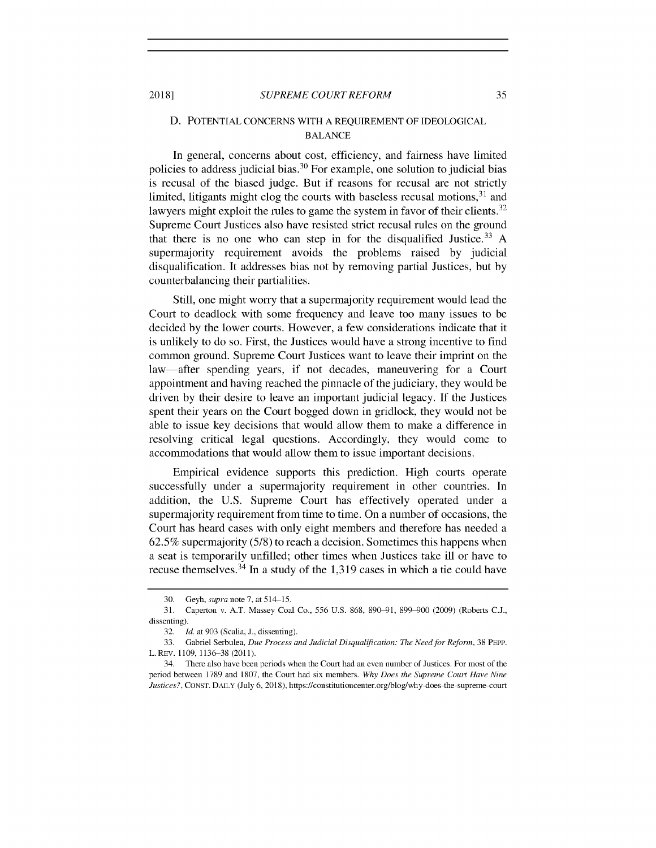#### **D. POTENTIAL CONCERNS** WITH **A REQUIREMENT** OF **IDEOLOGICAL BALANCE**

In general, concerns about cost, efficiency, and fairness have limited policies to address judicial bias.<sup>30</sup> For example, one solution to judicial bias is recusal of the biased judge. But if reasons for recusal are not strictly limited, litigants might clog the courts with baseless recusal motions,  $31$  and lawyers might exploit the rules to game the system in favor of their clients.<sup>32</sup> Supreme Court Justices also have resisted strict recusal rules on the ground that there is no one who can step in for the disqualified Justice. <sup>33</sup>**A** supermajority requirement avoids the problems raised **by** judicial disqualification. It addresses bias not **by** removing partial Justices, but **by** counterbalancing their partialities.

Still, one might worry that a supermajority requirement would lead the Court to deadlock with some frequency and leave too many issues to be decided **by** the lower courts. However, a few considerations indicate that it is unlikely to do so. First, the Justices would have a strong incentive to find common ground. Supreme Court Justices want to leave their imprint on the law-after spending years, if not decades, maneuvering for a Court appointment and having reached the pinnacle of the judiciary, they would be driven **by** their desire to leave an important judicial legacy. **If** the Justices spent their years on the Court bogged down in gridlock, they would not be able to issue key decisions that would allow them to make a difference in resolving critical legal questions. Accordingly, they would come to accommodations that would allow them to issue important decisions.

Empirical evidence supports this prediction. High courts operate successfully under a supermajority requirement in other countries. In addition, the **U.S.** Supreme Court has effectively operated under a supermajority requirement from time to time. On a number of occasions, the Court has heard cases with only eight members and therefore has needed a **62.5%** supermajority **(5/8)** to reach a decision. Sometimes this happens when a seat is temporarily unfilled; other times when Justices take ill or have to recuse themselves.<sup>34</sup> In a study of the 1,319 cases in which a tie could have

**<sup>30.</sup>** *Geyh,* supra note **7,** at 514-15.

**<sup>31.</sup>** Caperton v. **A.T.** Massey Coal Co., *556* **U.S. 868, 890-91, 899-900 (2009)** (Roberts **C.J.,** dissenting).

**<sup>32.</sup>** *Id.* at **903** (Scalia, **J.,** dissenting).

**<sup>33.</sup>** Gabriel Serbulea, Due Process and Judicial Disqualification: *The Need for Reform,* **38 PEPP.** L. REv. **1109, 1136-38 (2011).**

<sup>34.</sup> There also have been periods when the Court had an even number of Justices. For most of the period between **1789** and **1807,** the Court had six members. *Why Does the Supreme Court Have Nine Justices?,* **CONST. DAILY** (July **6, 2018),** https://constitutioncenter.org/blog/why-does-the-supreme-court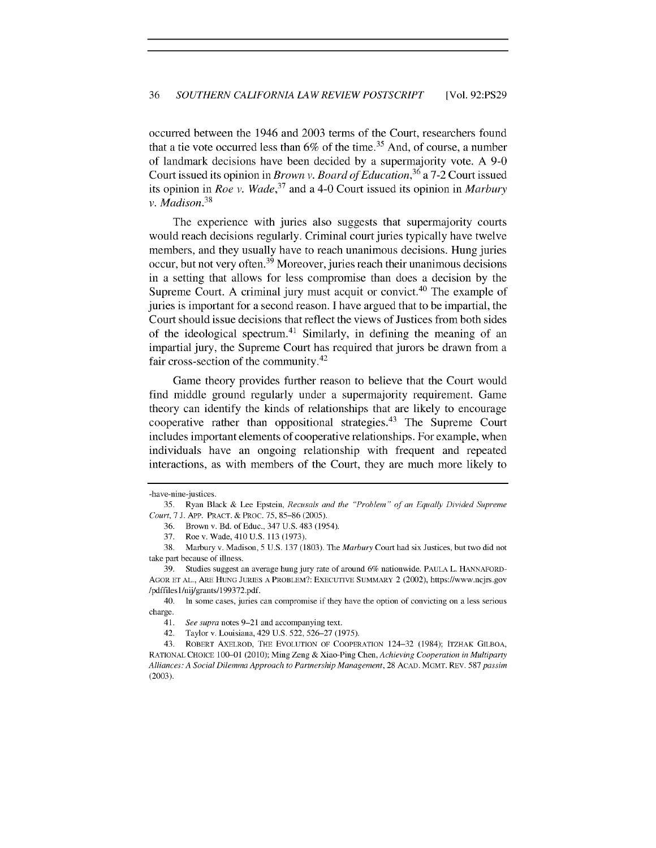occurred between the 1946 and **2003** terms of the Court, researchers found that a tie vote occurred less than  $6\%$  of the time.<sup>35</sup> And, of course, a number of landmark decisions have been decided **by** a supermajority vote. **A 9-0** Court issued its opinion in *Brown v. Board of Education,<sup>36</sup>*a **7-2** Court issued its opinion in *Roe v. Wade,<sup>37</sup>*and a 4-0 Court issued its opinion in *Marbury* v. *Madison.<sup>38</sup>*

The experience with juries also suggests that supermajority courts would reach decisions regularly. Criminal court juries typically have twelve members, and they usually have to reach unanimous decisions. Hung juries occur, but not very often.<sup>39</sup> Moreover, juries reach their unanimous decisions in a setting that allows for less compromise than does a decision **by** the Supreme Court. A criminal jury must acquit or convict.<sup>40</sup> The example of juries is important for a second reason. **I** have argued that to be impartial, the Court should issue decisions that reflect the views of Justices from both sides of the ideological spectrum.<sup>41</sup> Similarly, in defining the meaning of an impartial jury, the Supreme Court has required that jurors be drawn from a fair cross-section of the community.<sup>42</sup>

Game theory provides further reason to believe that the Court would find middle ground regularly under a supermajority requirement. Game theory can identify the kinds of relationships that are likely to encourage cooperative rather than oppositional strategies.<sup>43</sup> The Supreme Court includes important elements of cooperative relationships. For example, when individuals have an ongoing relationship with frequent and repeated interactions, as with members of the Court, they are much more likely to

<sup>-</sup>have-nine-justices.

**<sup>35.</sup>** Ryan Black **&** Lee Epstein, *Recusals and the "Problem" of an Equally Divided Supreme* Court, **7 J. APP. PRACT. &** PROC. **75, 85-86 (2005).**

**<sup>36.</sup>** Brown v. Bd. of Educ., 347 **U.S.** 483 (1954).

**<sup>37.</sup>** Roe v. Wade, 410 **U.S. 113 (1973).**

**<sup>38.</sup>** Marbury v. Madison, **5 U.S. 137 (1803).** The *Marbury* Court had six Justices, but two did not take part because of illness.

**<sup>39.</sup>** Studies suggest an average hung jury rate of around **6%** nationwide. **PAULA** L. **HANNAFORD-AGOR ET AL., ARE HUNG JURIES A** PROBLEM?: EXECUTIVE SUMMARY 2 (2002), https://www.ncjrs.gov /pdffilesl/nij/grants/199372.pdf.

<sup>40.</sup> In some cases, juries can compromise if they have the option of convicting on a less serious charge.

<sup>41.</sup> *See supra* notes **9-21** and accompanying text.

<sup>42.</sup> Taylor v. Louisiana, 429 **U.S. 522, 526-27 (1975).**

<sup>43.</sup> **ROBERT AXELROD, THE EVOLUTION OF COOPERATION** 124-32 (1984); ITZHAK **GILBOA, RATIONAL CHOICE 100-01** (2010); Ming Zeng **&** Xiao-Ping Chen, *Achieving Cooperation in Multiparty Alliances: A Social Dilemma Approach to Partnership Management,* **28** ACAD. MGMT. REV. **587** *passim* **(2003).**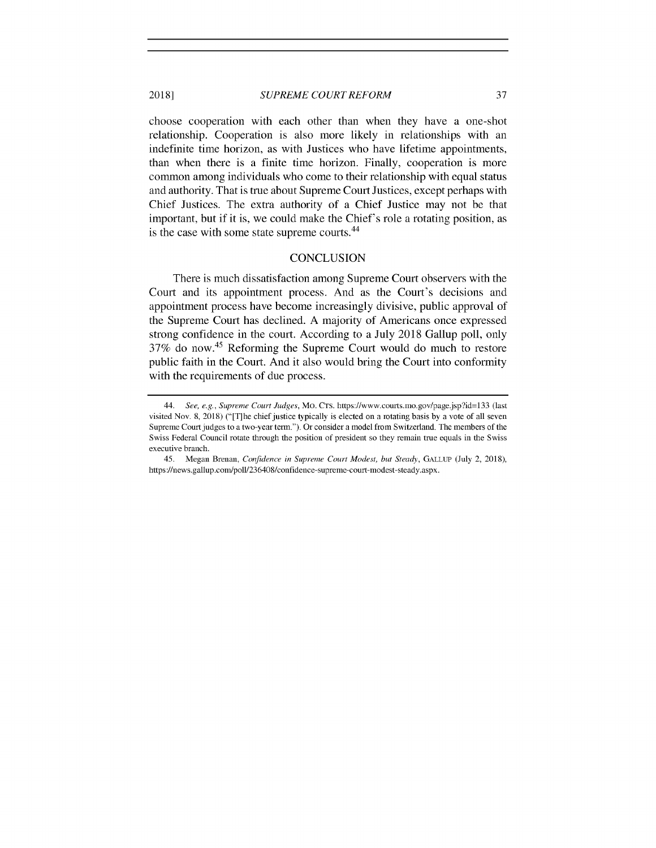#### *SUPREME COURT REFORM* **2018] 37**

choose cooperation with each other than when they have a one-shot relationship. Cooperation is also more likely in relationships with an indefinite time horizon, as with Justices who have lifetime appointments, than when there is a finite time horizon. Finally, cooperation is more common among individuals who come to their relationship with equal status and authority. That is true about Supreme Court Justices, except perhaps with Chief Justices. The extra authority of a Chief Justice may not be that important, but if it is, we could make the Chief's role a rotating position, as is the case with some state supreme courts.<sup>44</sup>

#### **CONCLUSION**

There is much dissatisfaction among Supreme Court observers with the Court and its appointment process. And as the Court's decisions and appointment process have become increasingly divisive, public approval of the Supreme Court has declined. **A** majority of Americans once expressed strong confidence in the court. According to a July **2018** Gallup poll, only **37%** do now.45 Reforming the Supreme Court would do much to restore public faith in the Court. And it also would bring the Court into conformity with the requirements of due process.

<sup>44.</sup> See, e.g., Supreme Court Judges, Mo. **CTS.** https://www.courts.mo.gov/page.jsp?id=133 (last visited Nov. **8, 2018)** ("[T]he chief justice typically is elected on a rotating basis **by** a vote of all seven Supreme Court judges to a two-year term."). Or consider a model from Switzerland. The members of the Swiss Federal Council rotate through the position of president so they remain true equals in the Swiss executive branch.

<sup>45.</sup> Megan Brenan, Confidence in *Supreme Court Modest, but Steady,* **GALLUP** (July 2, **2018),** https://news.gallup.com/poll/236408/confidence-supreme-court-modest-steady.aspx.